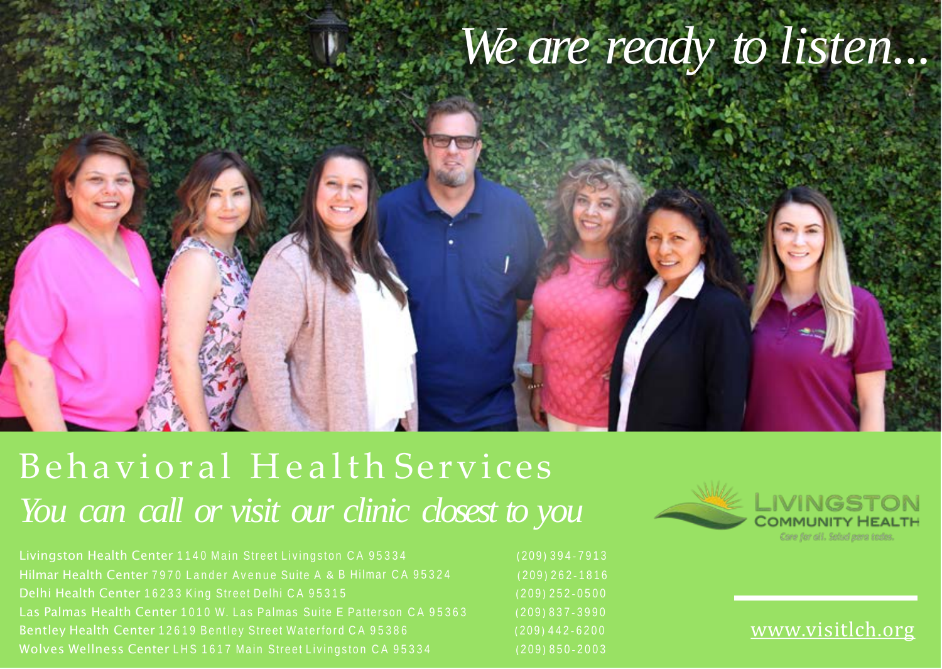

## Behavioral Health Services *You can call or visit our clinic closest to you*

Hilmar Health Center 7970 Lander Avenue Suite A & B Hilmar CA 95324 (209) 262-1816 Las Palmas Health Center 1010 W. Las Palmas Suite E Patterson C A 95363 ( 209 ) 837 - 3990



[www.visitlch.org](http://www.visitlch.org/)